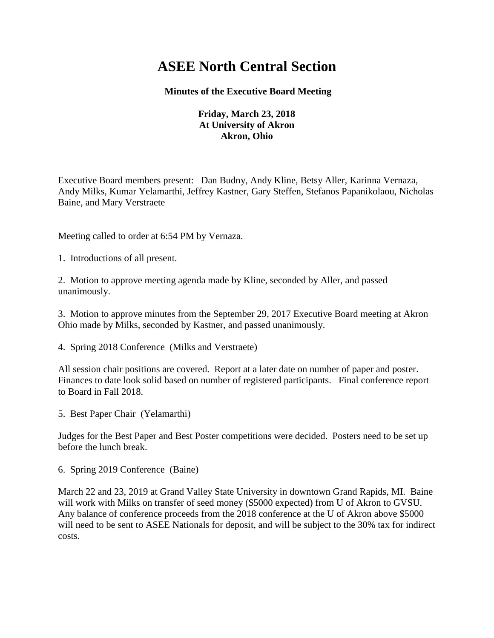## **ASEE North Central Section**

## **Minutes of the Executive Board Meeting**

## **Friday, March 23, 2018 At University of Akron Akron, Ohio**

Executive Board members present: Dan Budny, Andy Kline, Betsy Aller, Karinna Vernaza, Andy Milks, Kumar Yelamarthi, Jeffrey Kastner, Gary Steffen, Stefanos Papanikolaou, Nicholas Baine, and Mary Verstraete

Meeting called to order at 6:54 PM by Vernaza.

1. Introductions of all present.

2. Motion to approve meeting agenda made by Kline, seconded by Aller, and passed unanimously.

3. Motion to approve minutes from the September 29, 2017 Executive Board meeting at Akron Ohio made by Milks, seconded by Kastner, and passed unanimously.

4. Spring 2018 Conference (Milks and Verstraete)

All session chair positions are covered. Report at a later date on number of paper and poster. Finances to date look solid based on number of registered participants. Final conference report to Board in Fall 2018.

5. Best Paper Chair (Yelamarthi)

Judges for the Best Paper and Best Poster competitions were decided. Posters need to be set up before the lunch break.

6. Spring 2019 Conference (Baine)

March 22 and 23, 2019 at Grand Valley State University in downtown Grand Rapids, MI. Baine will work with Milks on transfer of seed money (\$5000 expected) from U of Akron to GVSU. Any balance of conference proceeds from the 2018 conference at the U of Akron above \$5000 will need to be sent to ASEE Nationals for deposit, and will be subject to the 30% tax for indirect costs.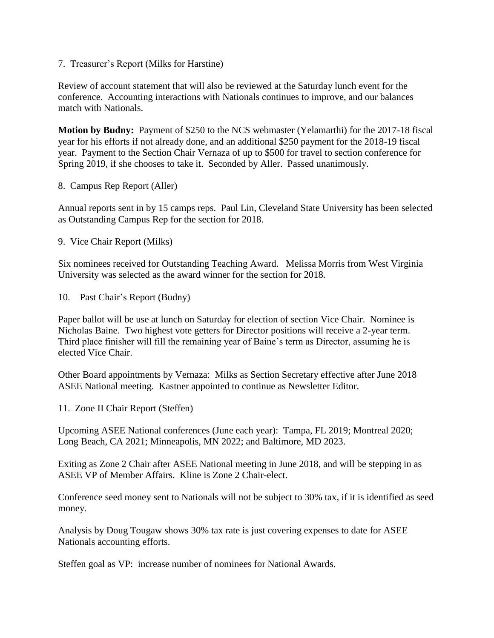7. Treasurer's Report (Milks for Harstine)

Review of account statement that will also be reviewed at the Saturday lunch event for the conference. Accounting interactions with Nationals continues to improve, and our balances match with Nationals.

**Motion by Budny:** Payment of \$250 to the NCS webmaster (Yelamarthi) for the 2017-18 fiscal year for his efforts if not already done, and an additional \$250 payment for the 2018-19 fiscal year. Payment to the Section Chair Vernaza of up to \$500 for travel to section conference for Spring 2019, if she chooses to take it. Seconded by Aller. Passed unanimously.

8. Campus Rep Report (Aller)

Annual reports sent in by 15 camps reps. Paul Lin, Cleveland State University has been selected as Outstanding Campus Rep for the section for 2018.

9. Vice Chair Report (Milks)

Six nominees received for Outstanding Teaching Award. Melissa Morris from West Virginia University was selected as the award winner for the section for 2018.

10. Past Chair's Report (Budny)

Paper ballot will be use at lunch on Saturday for election of section Vice Chair. Nominee is Nicholas Baine. Two highest vote getters for Director positions will receive a 2-year term. Third place finisher will fill the remaining year of Baine's term as Director, assuming he is elected Vice Chair.

Other Board appointments by Vernaza: Milks as Section Secretary effective after June 2018 ASEE National meeting. Kastner appointed to continue as Newsletter Editor.

11. Zone II Chair Report (Steffen)

Upcoming ASEE National conferences (June each year): Tampa, FL 2019; Montreal 2020; Long Beach, CA 2021; Minneapolis, MN 2022; and Baltimore, MD 2023.

Exiting as Zone 2 Chair after ASEE National meeting in June 2018, and will be stepping in as ASEE VP of Member Affairs. Kline is Zone 2 Chair-elect.

Conference seed money sent to Nationals will not be subject to 30% tax, if it is identified as seed money.

Analysis by Doug Tougaw shows 30% tax rate is just covering expenses to date for ASEE Nationals accounting efforts.

Steffen goal as VP: increase number of nominees for National Awards.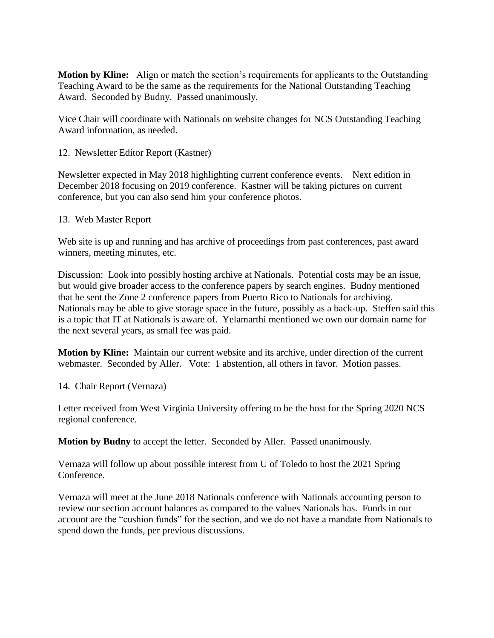**Motion by Kline:** Align or match the section's requirements for applicants to the Outstanding Teaching Award to be the same as the requirements for the National Outstanding Teaching Award. Seconded by Budny. Passed unanimously.

Vice Chair will coordinate with Nationals on website changes for NCS Outstanding Teaching Award information, as needed.

12. Newsletter Editor Report (Kastner)

Newsletter expected in May 2018 highlighting current conference events. Next edition in December 2018 focusing on 2019 conference. Kastner will be taking pictures on current conference, but you can also send him your conference photos.

## 13. Web Master Report

Web site is up and running and has archive of proceedings from past conferences, past award winners, meeting minutes, etc.

Discussion: Look into possibly hosting archive at Nationals. Potential costs may be an issue, but would give broader access to the conference papers by search engines. Budny mentioned that he sent the Zone 2 conference papers from Puerto Rico to Nationals for archiving. Nationals may be able to give storage space in the future, possibly as a back-up. Steffen said this is a topic that IT at Nationals is aware of. Yelamarthi mentioned we own our domain name for the next several years, as small fee was paid.

**Motion by Kline:** Maintain our current website and its archive, under direction of the current webmaster. Seconded by Aller. Vote: 1 abstention, all others in favor. Motion passes.

14. Chair Report (Vernaza)

Letter received from West Virginia University offering to be the host for the Spring 2020 NCS regional conference.

**Motion by Budny** to accept the letter. Seconded by Aller. Passed unanimously.

Vernaza will follow up about possible interest from U of Toledo to host the 2021 Spring Conference.

Vernaza will meet at the June 2018 Nationals conference with Nationals accounting person to review our section account balances as compared to the values Nationals has. Funds in our account are the "cushion funds" for the section, and we do not have a mandate from Nationals to spend down the funds, per previous discussions.